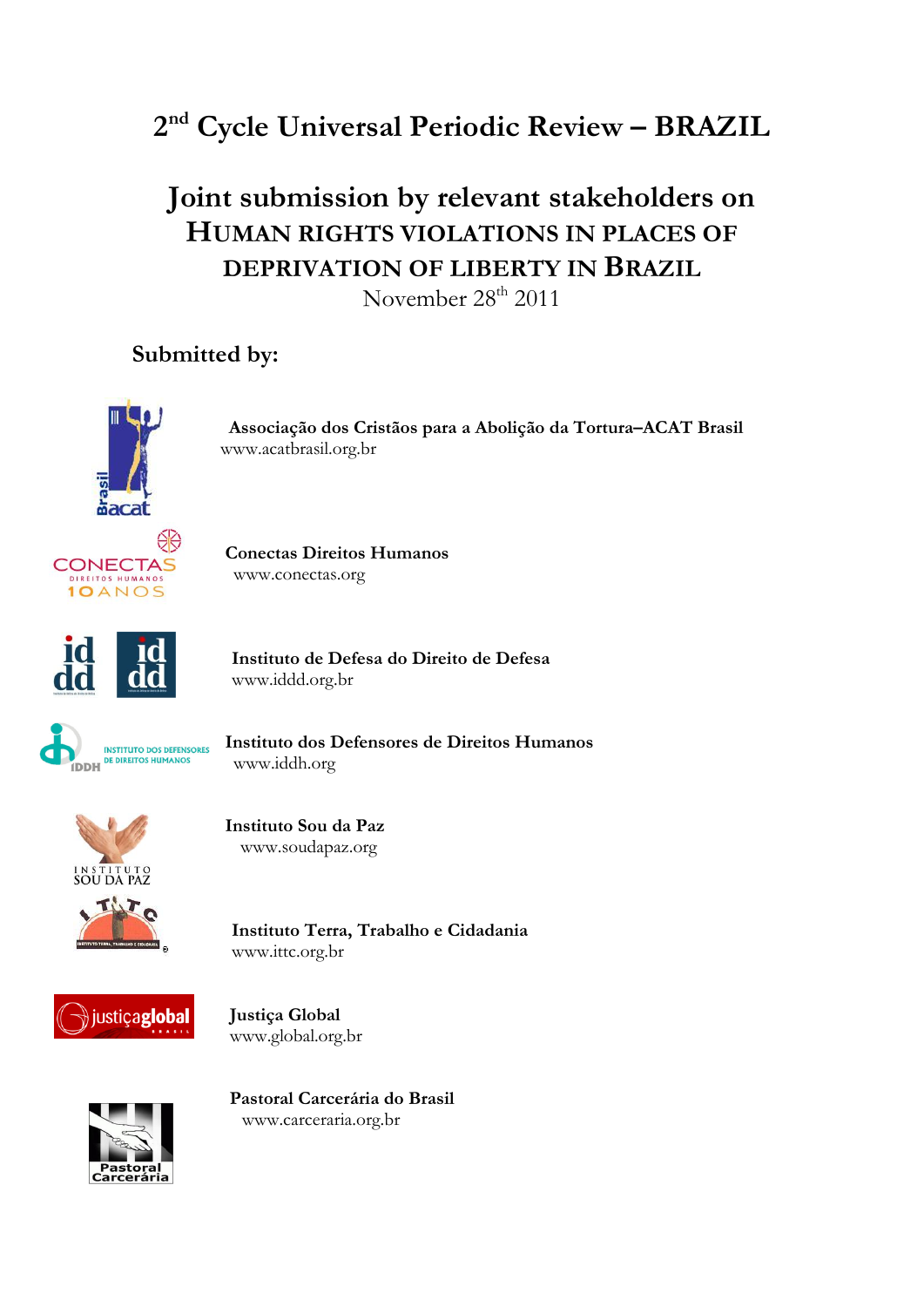

# **Joint submission by relevant stakeholders on HUMAN RIGHTS VIOLATIONS IN PLACES OF DEPRIVATION OF LIBERTY IN BRAZIL**

November 28<sup>th</sup> 2011

# **Submitted by:**



 **Associação dos Cristãos para a Abolição da Tortura–ACAT Brasil** www.acatbrasil.org.br



**CONECTAS** Conectas Direitos Humanos www.conectas.org



 **Instituto de Defesa do Direito de Defesa** www.iddd.org.br



INSTITUTO DOS DEFENSORES **ILITATURO DE DE EN ENGLÍTICO E DE DIREITOS HUMANOS** www.iddh.org



 **Instituto Sou da Paz** www.soudapaz.org

 **Instituto Terra, Trabalho e Cidadania**  www.ittc.org.br



justiçaglobal Justiça Global www.global.org.br



 **Pastoral Carcerária do Brasil**  www.carceraria.org.br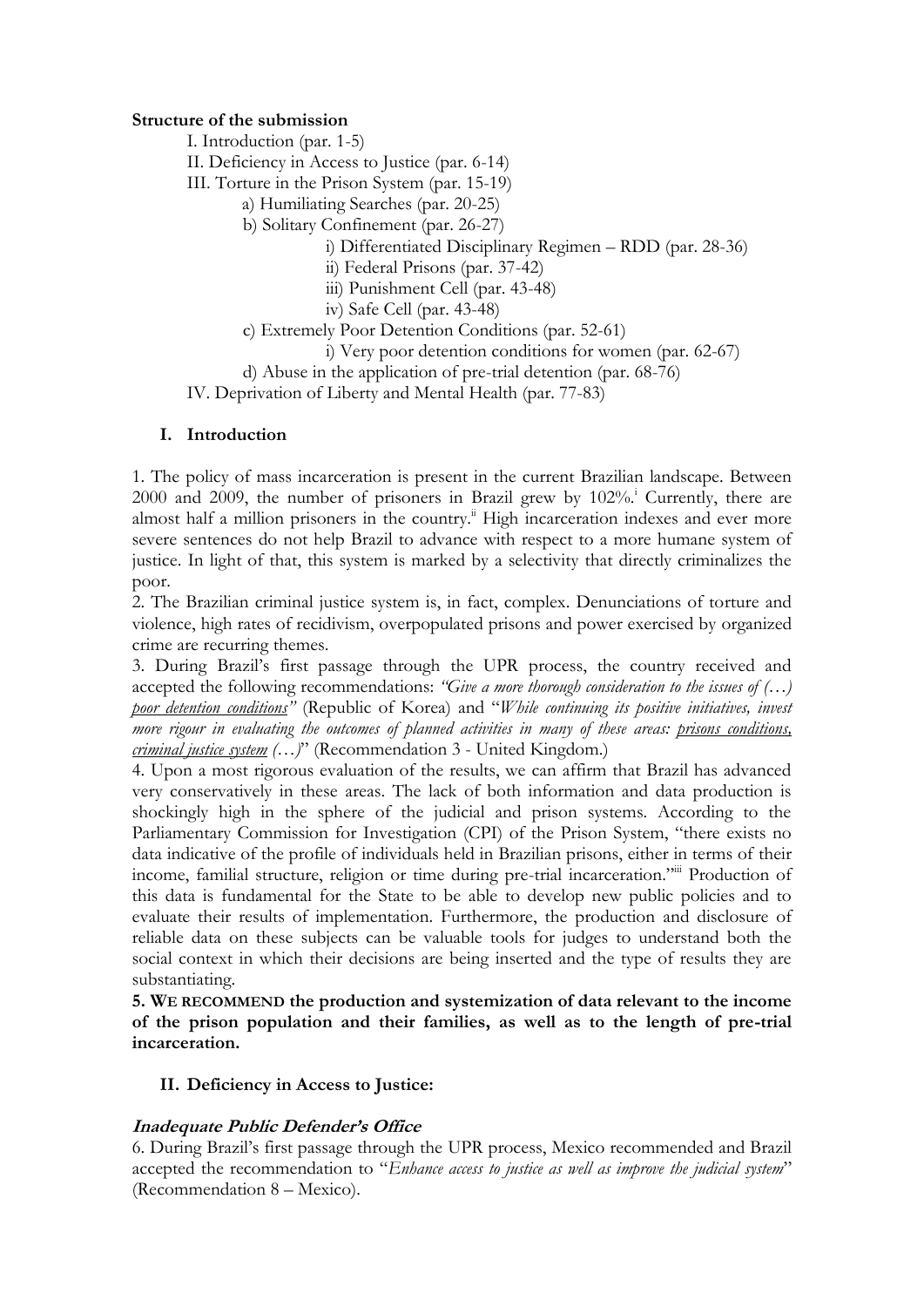#### **Structure of the submission**

I. Introduction (par. 1-5)

II. Deficiency in Access to Justice (par. 6-14)

III. Torture in the Prison System (par. 15-19)

a) Humiliating Searches (par. 20-25)

b) Solitary Confinement (par. 26-27)

i) Differentiated Disciplinary Regimen – RDD (par. 28-36)

ii) Federal Prisons (par. 37-42)

iii) Punishment Cell (par. 43-48)

iv) Safe Cell (par. 43-48)

c) Extremely Poor Detention Conditions (par. 52-61)

i) Very poor detention conditions for women (par. 62-67)

d) Abuse in the application of pre-trial detention (par. 68-76)

IV. Deprivation of Liberty and Mental Health (par. 77-83)

# **I. Introduction**

1. The policy of mass incarceration is present in the current Brazilian landscape. Between  $2000$  and  $2009$ , the number of prisoners in Brazil grew by  $102\%$ . Currently, there are almost half a million prisoners in the country.<sup>ii</sup> High incarceration indexes and ever more severe sentences do not help Brazil to advance with respect to a more humane system of justice. In light of that, this system is marked by a selectivity that directly criminalizes the poor.

2. The Brazilian criminal justice system is, in fact, complex. Denunciations of torture and violence, high rates of recidivism, overpopulated prisons and power exercised by organized crime are recurring themes.

3. During Brazil's first passage through the UPR process, the country received and accepted the following recommendations: *"Give a more thorough consideration to the issues of (…) poor detention conditions*<sup>"</sup> (Republic of Korea) and "*While continuing its positive initiatives, invest more rigour in evaluating the outcomes of planned activities in many of these areas: prisons conditions, criminal justice system (…)*‖ (Recommendation 3 - United Kingdom.)

4. Upon a most rigorous evaluation of the results, we can affirm that Brazil has advanced very conservatively in these areas. The lack of both information and data production is shockingly high in the sphere of the judicial and prison systems. According to the Parliamentary Commission for Investigation (CPI) of the Prison System, "there exists no data indicative of the profile of individuals held in Brazilian prisons, either in terms of their income, familial structure, religion or time during pre-trial incarceration." Production of this data is fundamental for the State to be able to develop new public policies and to evaluate their results of implementation. Furthermore, the production and disclosure of reliable data on these subjects can be valuable tools for judges to understand both the social context in which their decisions are being inserted and the type of results they are substantiating.

**5. WE RECOMMEND the production and systemization of data relevant to the income of the prison population and their families, as well as to the length of pre-trial incarceration.**

# **II. Deficiency in Access to Justice:**

# **Inadequate Public Defender's Office**

6. During Brazil's first passage through the UPR process, Mexico recommended and Brazil accepted the recommendation to "*Enhance access to justice as well as improve the judicial system*" (Recommendation 8 – Mexico).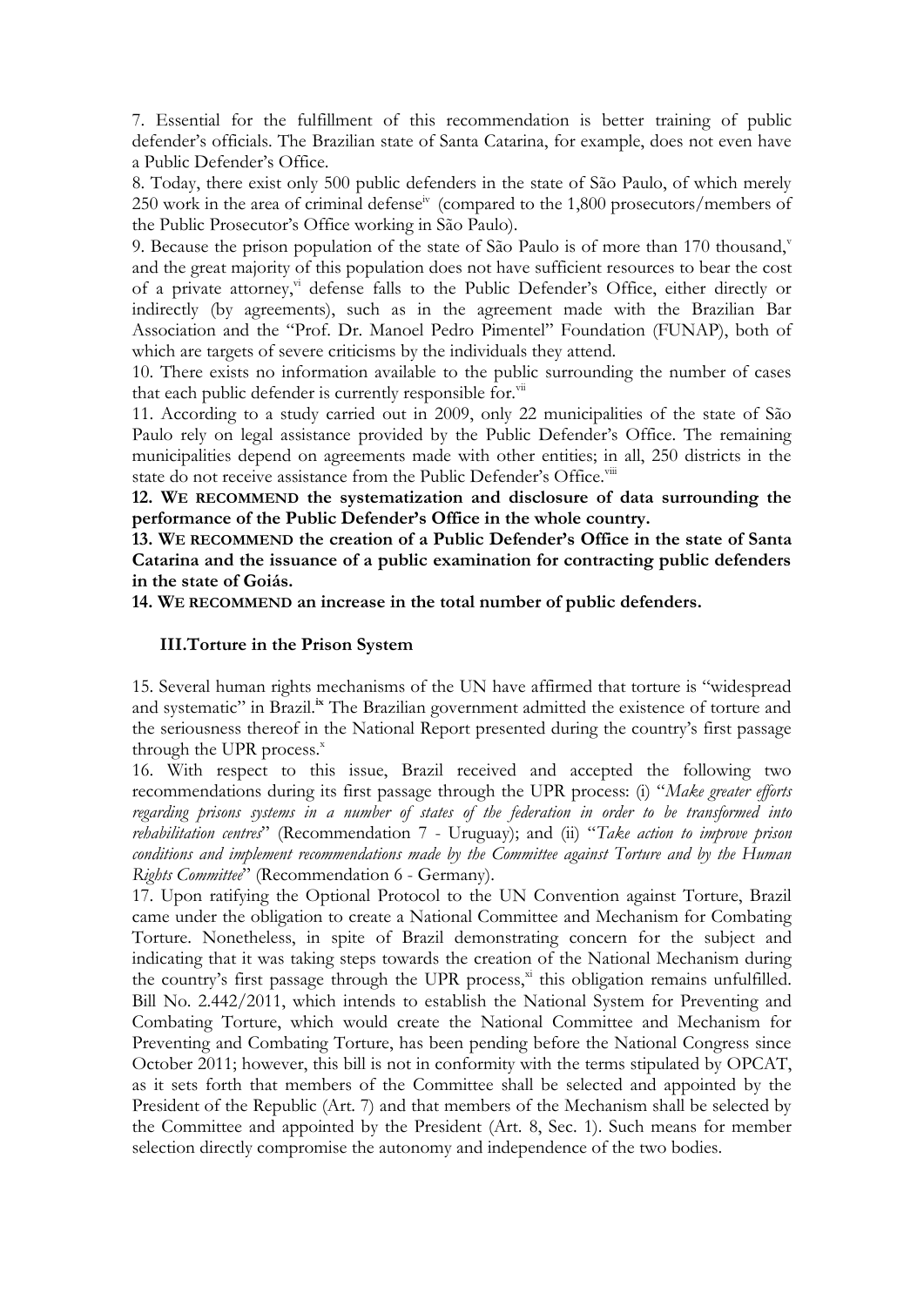7. Essential for the fulfillment of this recommendation is better training of public defender's officials. The Brazilian state of Santa Catarina, for example, does not even have a Public Defender's Office.

8. Today, there exist only 500 public defenders in the state of São Paulo, of which merely 250 work in the area of criminal defense<sup>iv</sup> (compared to the 1,800 prosecutors/members of the Public Prosecutor's Office working in São Paulo).

9. Because the prison population of the state of São Paulo is of more than 170 thousand, $\bar{y}$ and the great majority of this population does not have sufficient resources to bear the cost of a private attorney,<sup>vi</sup> defense falls to the Public Defender's Office, either directly or indirectly (by agreements), such as in the agreement made with the Brazilian Bar Association and the "Prof. Dr. Manoel Pedro Pimentel" Foundation (FUNAP), both of which are targets of severe criticisms by the individuals they attend.

10. There exists no information available to the public surrounding the number of cases that each public defender is currently responsible for. $\overline{v}$ <sup>ii</sup>

11. According to a study carried out in 2009, only 22 municipalities of the state of São Paulo rely on legal assistance provided by the Public Defender's Office. The remaining municipalities depend on agreements made with other entities; in all, 250 districts in the state do not receive assistance from the Public Defender's Office.<sup>viii</sup>

**12. WE RECOMMEND the systematization and disclosure of data surrounding the performance of the Public Defender's Office in the whole country.**

**13. WE RECOMMEND the creation of a Public Defender's Office in the state of Santa Catarina and the issuance of a public examination for contracting public defenders in the state of Goiás.** 

**14. WE RECOMMEND an increase in the total number of public defenders.**

#### **III.Torture in the Prison System**

15. Several human rights mechanisms of the UN have affirmed that torture is "widespread and systematic" in Brazil.<sup>ix</sup> The Brazilian government admitted the existence of torture and the seriousness thereof in the National Report presented during the country's first passage through the UPR process. $x$ 

16. With respect to this issue, Brazil received and accepted the following two recommendations during its first passage through the UPR process: (i) "Make greater efforts *regarding prisons systems in a number of states of the federation in order to be transformed into*  rehabilitation centres<sup>"</sup> (Recommendation 7 - Uruguay); and (ii) "Take action to improve prison conditions and implement recommendations made by the Committee against Torture and by the Human *Rights Committee*" (Recommendation 6 - Germany).

17. Upon ratifying the Optional Protocol to the UN Convention against Torture, Brazil came under the obligation to create a National Committee and Mechanism for Combating Torture. Nonetheless, in spite of Brazil demonstrating concern for the subject and indicating that it was taking steps towards the creation of the National Mechanism during the country's first passage through the UPR process,<sup>xi</sup> this obligation remains unfulfilled. Bill No. 2.442/2011, which intends to establish the National System for Preventing and Combating Torture, which would create the National Committee and Mechanism for Preventing and Combating Torture, has been pending before the National Congress since October 2011; however, this bill is not in conformity with the terms stipulated by OPCAT, as it sets forth that members of the Committee shall be selected and appointed by the President of the Republic (Art. 7) and that members of the Mechanism shall be selected by the Committee and appointed by the President (Art. 8, Sec. 1). Such means for member selection directly compromise the autonomy and independence of the two bodies.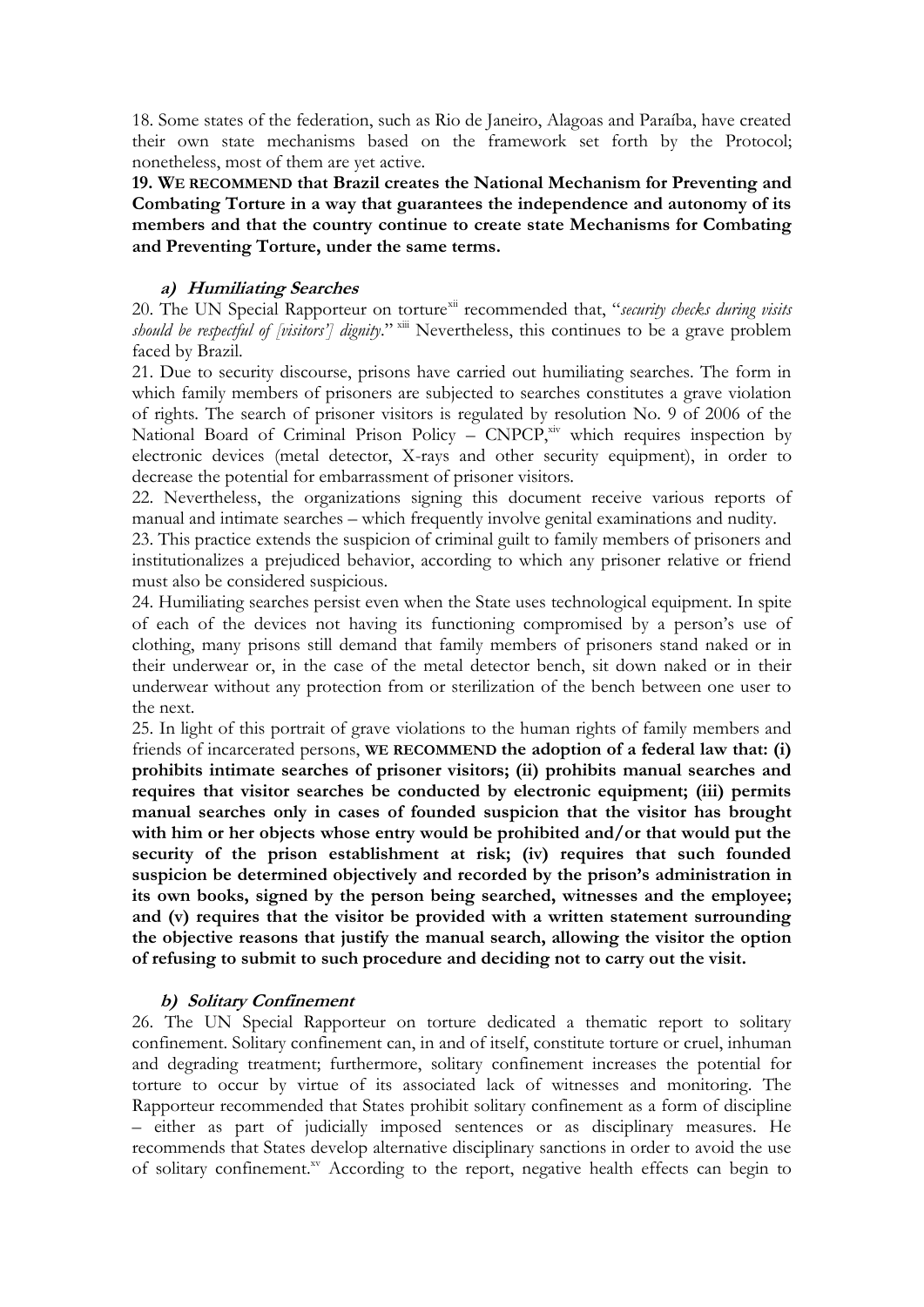18. Some states of the federation, such as Rio de Janeiro, Alagoas and Paraíba, have created their own state mechanisms based on the framework set forth by the Protocol; nonetheless, most of them are yet active.

**19. WE RECOMMEND that Brazil creates the National Mechanism for Preventing and Combating Torture in a way that guarantees the independence and autonomy of its members and that the country continue to create state Mechanisms for Combating and Preventing Torture, under the same terms.**

# **a) Humiliating Searches**

20. The UN Special Rapporteur on torture<sup>xii</sup> recommended that, "security checks during visits *should be respectful of [visitors'] dignity.*"<sup>xiii</sup> Nevertheless, this continues to be a grave problem faced by Brazil.

21. Due to security discourse, prisons have carried out humiliating searches. The form in which family members of prisoners are subjected to searches constitutes a grave violation of rights. The search of prisoner visitors is regulated by resolution No. 9 of 2006 of the National Board of Criminal Prison Policy –  $\text{CNPCP}^{\text{xiv}}$  which requires inspection by electronic devices (metal detector, X-rays and other security equipment), in order to decrease the potential for embarrassment of prisoner visitors.

22. Nevertheless, the organizations signing this document receive various reports of manual and intimate searches – which frequently involve genital examinations and nudity.

23. This practice extends the suspicion of criminal guilt to family members of prisoners and institutionalizes a prejudiced behavior, according to which any prisoner relative or friend must also be considered suspicious.

24. Humiliating searches persist even when the State uses technological equipment. In spite of each of the devices not having its functioning compromised by a person's use of clothing, many prisons still demand that family members of prisoners stand naked or in their underwear or, in the case of the metal detector bench, sit down naked or in their underwear without any protection from or sterilization of the bench between one user to the next.

25. In light of this portrait of grave violations to the human rights of family members and friends of incarcerated persons, **WE RECOMMEND the adoption of a federal law that: (i) prohibits intimate searches of prisoner visitors; (ii) prohibits manual searches and requires that visitor searches be conducted by electronic equipment; (iii) permits manual searches only in cases of founded suspicion that the visitor has brought with him or her objects whose entry would be prohibited and/or that would put the security of the prison establishment at risk; (iv) requires that such founded suspicion be determined objectively and recorded by the prison's administration in its own books, signed by the person being searched, witnesses and the employee; and (v) requires that the visitor be provided with a written statement surrounding the objective reasons that justify the manual search, allowing the visitor the option of refusing to submit to such procedure and deciding not to carry out the visit.** 

#### **b) Solitary Confinement**

26. The UN Special Rapporteur on torture dedicated a thematic report to solitary confinement. Solitary confinement can, in and of itself, constitute torture or cruel, inhuman and degrading treatment; furthermore, solitary confinement increases the potential for torture to occur by virtue of its associated lack of witnesses and monitoring. The Rapporteur recommended that States prohibit solitary confinement as a form of discipline – either as part of judicially imposed sentences or as disciplinary measures. He recommends that States develop alternative disciplinary sanctions in order to avoid the use of solitary confinement.<sup>xv</sup> According to the report, negative health effects can begin to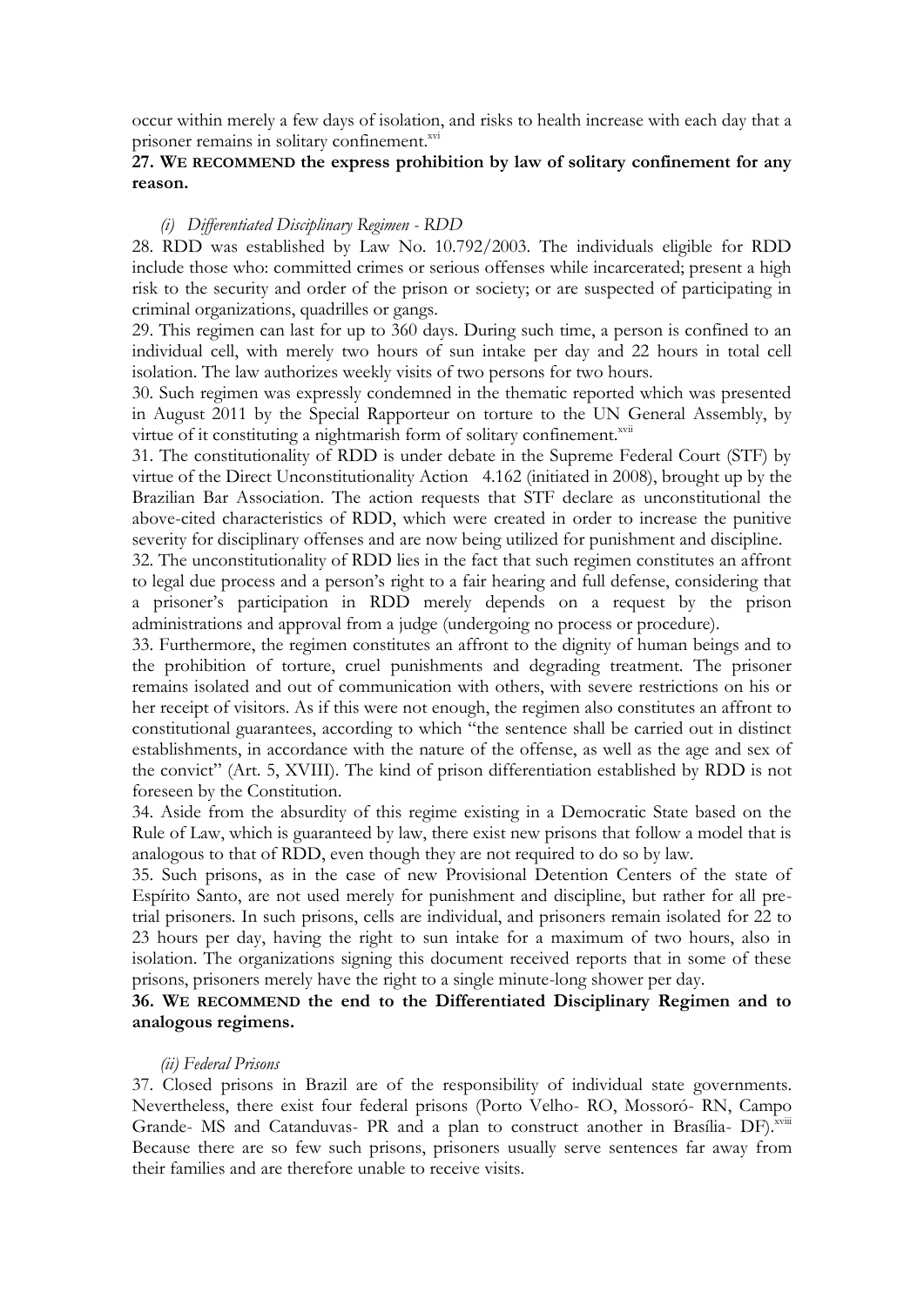occur within merely a few days of isolation, and risks to health increase with each day that a prisoner remains in solitary confinement.<sup>xvi</sup>

# **27. WE RECOMMEND the express prohibition by law of solitary confinement for any reason.**

# *(i) Differentiated Disciplinary Regimen - RDD*

28. RDD was established by Law No. 10.792/2003. The individuals eligible for RDD include those who: committed crimes or serious offenses while incarcerated; present a high risk to the security and order of the prison or society; or are suspected of participating in criminal organizations, quadrilles or gangs.

29. This regimen can last for up to 360 days. During such time, a person is confined to an individual cell, with merely two hours of sun intake per day and 22 hours in total cell isolation. The law authorizes weekly visits of two persons for two hours.

30. Such regimen was expressly condemned in the thematic reported which was presented in August 2011 by the Special Rapporteur on torture to the UN General Assembly, by virtue of it constituting a nightmarish form of solitary confinement.<sup>xvii</sup>

31. The constitutionality of RDD is under debate in the Supreme Federal Court (STF) by virtue of the Direct Unconstitutionality Action 4.162 (initiated in 2008), brought up by the Brazilian Bar Association. The action requests that STF declare as unconstitutional the above-cited characteristics of RDD, which were created in order to increase the punitive severity for disciplinary offenses and are now being utilized for punishment and discipline.

32. The unconstitutionality of RDD lies in the fact that such regimen constitutes an affront to legal due process and a person's right to a fair hearing and full defense, considering that a prisoner's participation in RDD merely depends on a request by the prison administrations and approval from a judge (undergoing no process or procedure).

33. Furthermore, the regimen constitutes an affront to the dignity of human beings and to the prohibition of torture, cruel punishments and degrading treatment. The prisoner remains isolated and out of communication with others, with severe restrictions on his or her receipt of visitors. As if this were not enough, the regimen also constitutes an affront to constitutional guarantees, according to which "the sentence shall be carried out in distinct establishments, in accordance with the nature of the offense, as well as the age and sex of the convict" (Art. 5, XVIII). The kind of prison differentiation established by RDD is not foreseen by the Constitution.

34. Aside from the absurdity of this regime existing in a Democratic State based on the Rule of Law, which is guaranteed by law, there exist new prisons that follow a model that is analogous to that of RDD, even though they are not required to do so by law.

35. Such prisons, as in the case of new Provisional Detention Centers of the state of Espírito Santo, are not used merely for punishment and discipline, but rather for all pretrial prisoners. In such prisons, cells are individual, and prisoners remain isolated for 22 to 23 hours per day, having the right to sun intake for a maximum of two hours, also in isolation. The organizations signing this document received reports that in some of these prisons, prisoners merely have the right to a single minute-long shower per day.

# **36. WE RECOMMEND the end to the Differentiated Disciplinary Regimen and to analogous regimens.**

#### *(ii) Federal Prisons*

37. Closed prisons in Brazil are of the responsibility of individual state governments. Nevertheless, there exist four federal prisons (Porto Velho- RO, Mossoró- RN, Campo Grande- MS and Catanduvas- PR and a plan to construct another in Brasília- DF).<sup>xviii</sup> Because there are so few such prisons, prisoners usually serve sentences far away from their families and are therefore unable to receive visits.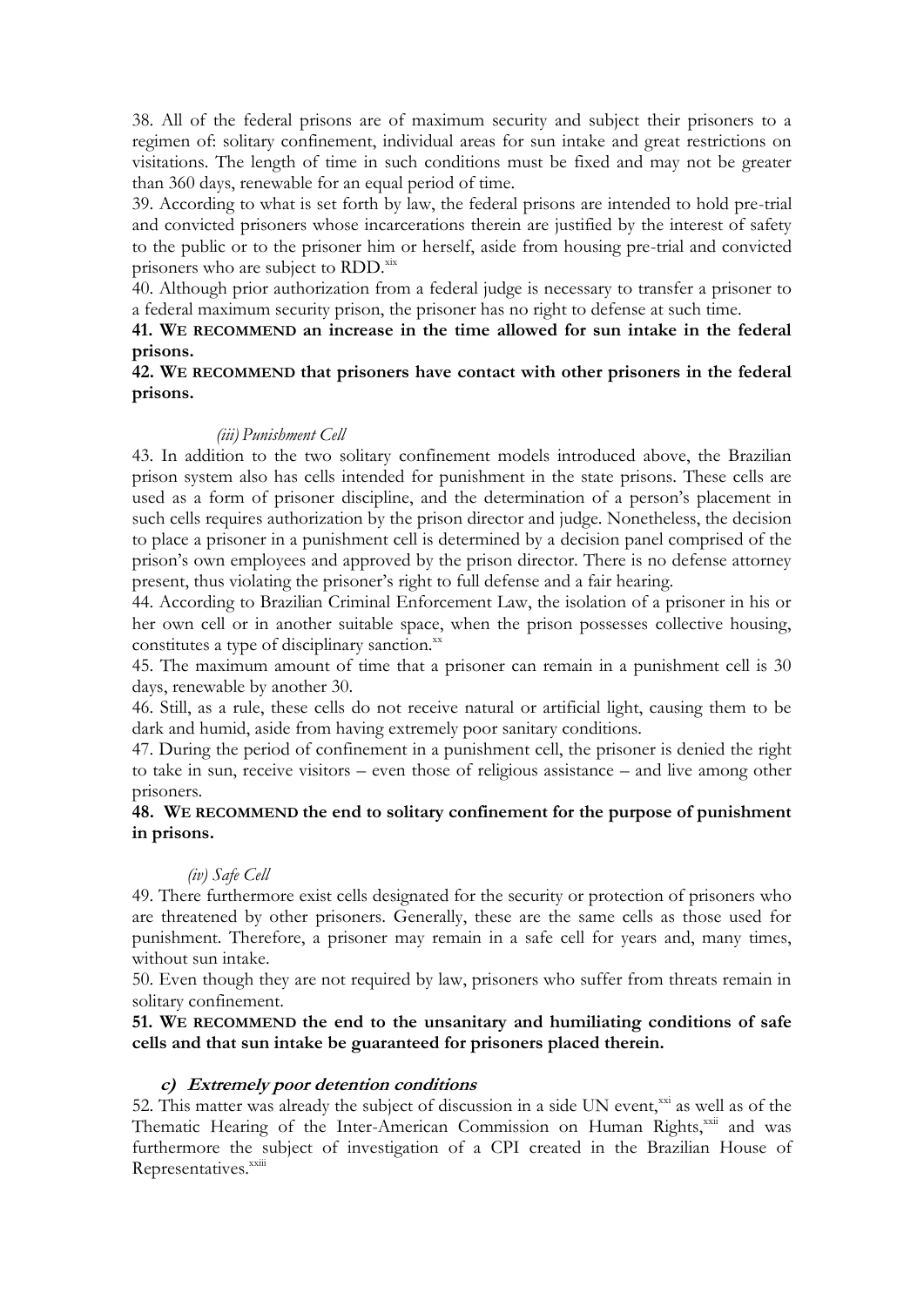38. All of the federal prisons are of maximum security and subject their prisoners to a regimen of: solitary confinement, individual areas for sun intake and great restrictions on visitations. The length of time in such conditions must be fixed and may not be greater than 360 days, renewable for an equal period of time.

39. According to what is set forth by law, the federal prisons are intended to hold pre-trial and convicted prisoners whose incarcerations therein are justified by the interest of safety to the public or to the prisoner him or herself, aside from housing pre-trial and convicted prisoners who are subject to  $RDD$ <sup>xix</sup>

40. Although prior authorization from a federal judge is necessary to transfer a prisoner to a federal maximum security prison, the prisoner has no right to defense at such time.

**41. WE RECOMMEND an increase in the time allowed for sun intake in the federal prisons.** 

**42. WE RECOMMEND that prisoners have contact with other prisoners in the federal prisons.** 

#### *(iii) Punishment Cell*

43. In addition to the two solitary confinement models introduced above, the Brazilian prison system also has cells intended for punishment in the state prisons. These cells are used as a form of prisoner discipline, and the determination of a person's placement in such cells requires authorization by the prison director and judge. Nonetheless, the decision to place a prisoner in a punishment cell is determined by a decision panel comprised of the prison's own employees and approved by the prison director. There is no defense attorney present, thus violating the prisoner's right to full defense and a fair hearing.

44. According to Brazilian Criminal Enforcement Law, the isolation of a prisoner in his or her own cell or in another suitable space, when the prison possesses collective housing, constitutes a type of disciplinary sanction.xx

45. The maximum amount of time that a prisoner can remain in a punishment cell is 30 days, renewable by another 30.

46. Still, as a rule, these cells do not receive natural or artificial light, causing them to be dark and humid, aside from having extremely poor sanitary conditions.

47. During the period of confinement in a punishment cell, the prisoner is denied the right to take in sun, receive visitors – even those of religious assistance – and live among other prisoners.

# **48. WE RECOMMEND the end to solitary confinement for the purpose of punishment in prisons.**

#### *(iv) Safe Cell*

49. There furthermore exist cells designated for the security or protection of prisoners who are threatened by other prisoners. Generally, these are the same cells as those used for punishment. Therefore, a prisoner may remain in a safe cell for years and, many times, without sun intake.

50. Even though they are not required by law, prisoners who suffer from threats remain in solitary confinement.

# **51. WE RECOMMEND the end to the unsanitary and humiliating conditions of safe cells and that sun intake be guaranteed for prisoners placed therein.**

#### **c) Extremely poor detention conditions**

52. This matter was already the subject of discussion in a side UN event, $^{xxi}$  as well as of the Thematic Hearing of the Inter-American Commission on Human Rights,<sup>xxii</sup> and was furthermore the subject of investigation of a CPI created in the Brazilian House of Representatives.<sup>xxiii</sup>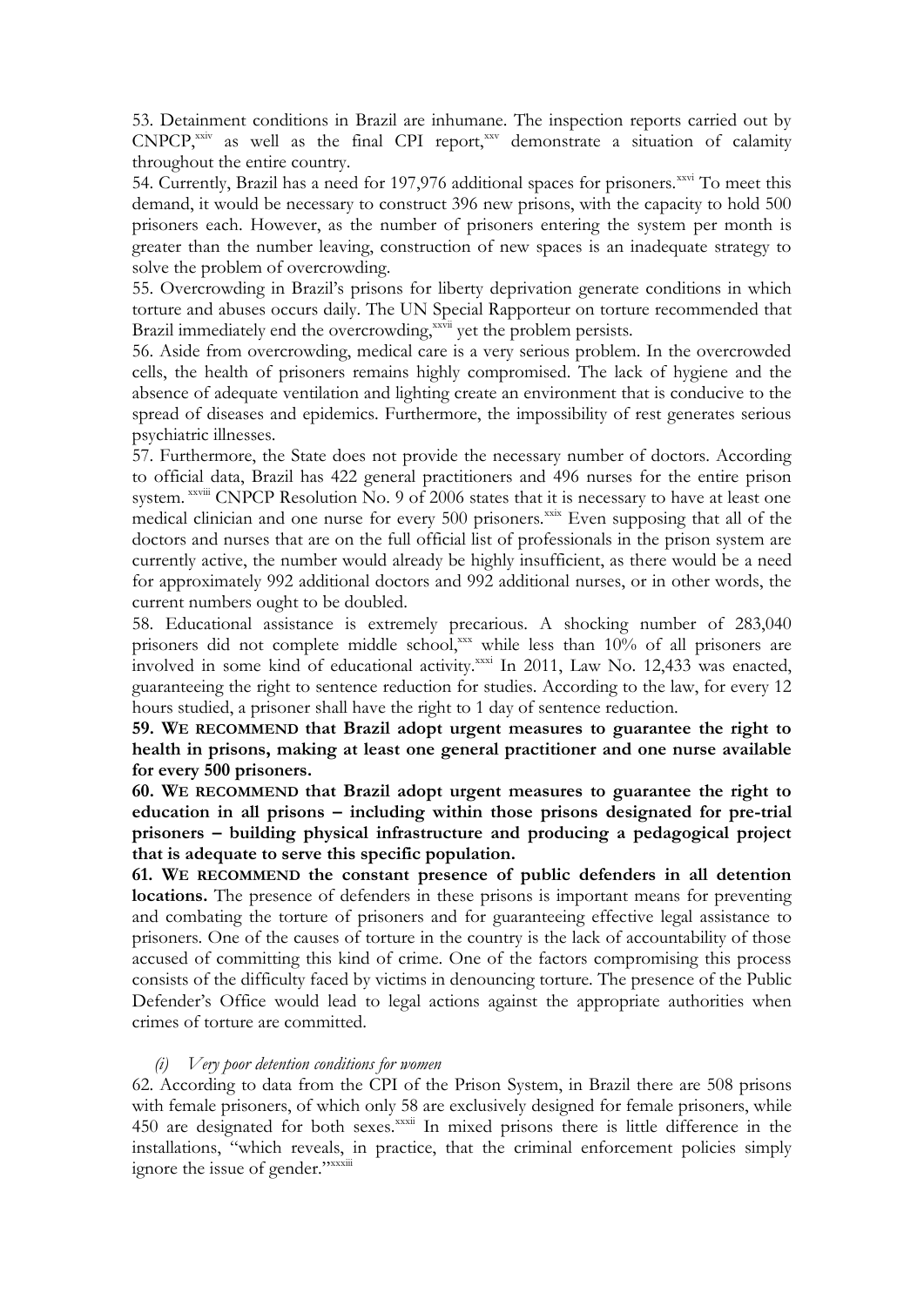53. Detainment conditions in Brazil are inhumane. The inspection reports carried out by  $CNPCP$ <sup>xxiv</sup> as well as the final CPI report, $xxy$  demonstrate a situation of calamity throughout the entire country.

54. Currently, Brazil has a need for 197,976 additional spaces for prisoners.<sup>xxvi</sup> To meet this demand, it would be necessary to construct 396 new prisons, with the capacity to hold 500 prisoners each. However, as the number of prisoners entering the system per month is greater than the number leaving, construction of new spaces is an inadequate strategy to solve the problem of overcrowding.

55. Overcrowding in Brazil's prisons for liberty deprivation generate conditions in which torture and abuses occurs daily. The UN Special Rapporteur on torture recommended that Brazil immediately end the overcrowding,<sup>xxvii</sup> yet the problem persists.

56. Aside from overcrowding, medical care is a very serious problem. In the overcrowded cells, the health of prisoners remains highly compromised. The lack of hygiene and the absence of adequate ventilation and lighting create an environment that is conducive to the spread of diseases and epidemics. Furthermore, the impossibility of rest generates serious psychiatric illnesses.

57. Furthermore, the State does not provide the necessary number of doctors. According to official data, Brazil has 422 general practitioners and 496 nurses for the entire prison system. *xxviii* CNPCP Resolution No. 9 of 2006 states that it is necessary to have at least one medical clinician and one nurse for every 500 prisoners.<sup>xxix</sup> Even supposing that all of the doctors and nurses that are on the full official list of professionals in the prison system are currently active, the number would already be highly insufficient, as there would be a need for approximately 992 additional doctors and 992 additional nurses, or in other words, the current numbers ought to be doubled.

58. Educational assistance is extremely precarious. A shocking number of 283,040 prisoners did not complete middle school,xxx while less than 10% of all prisoners are involved in some kind of educational activity.<sup>xxxi</sup> In 2011, Law No. 12,433 was enacted, guaranteeing the right to sentence reduction for studies. According to the law, for every 12 hours studied, a prisoner shall have the right to 1 day of sentence reduction.

**59. WE RECOMMEND that Brazil adopt urgent measures to guarantee the right to health in prisons, making at least one general practitioner and one nurse available for every 500 prisoners.** 

**60. WE RECOMMEND that Brazil adopt urgent measures to guarantee the right to education in all prisons – including within those prisons designated for pre-trial prisoners – building physical infrastructure and producing a pedagogical project that is adequate to serve this specific population.**

**61. WE RECOMMEND the constant presence of public defenders in all detention locations.** The presence of defenders in these prisons is important means for preventing and combating the torture of prisoners and for guaranteeing effective legal assistance to prisoners. One of the causes of torture in the country is the lack of accountability of those accused of committing this kind of crime. One of the factors compromising this process consists of the difficulty faced by victims in denouncing torture. The presence of the Public Defender's Office would lead to legal actions against the appropriate authorities when crimes of torture are committed.

#### *(i) Very poor detention conditions for women*

62. According to data from the CPI of the Prison System, in Brazil there are 508 prisons with female prisoners, of which only 58 are exclusively designed for female prisoners, while 450 are designated for both sexes.<sup>xxxii</sup> In mixed prisons there is little difference in the installations, "which reveals, in practice, that the criminal enforcement policies simply ignore the issue of gender."xxxiii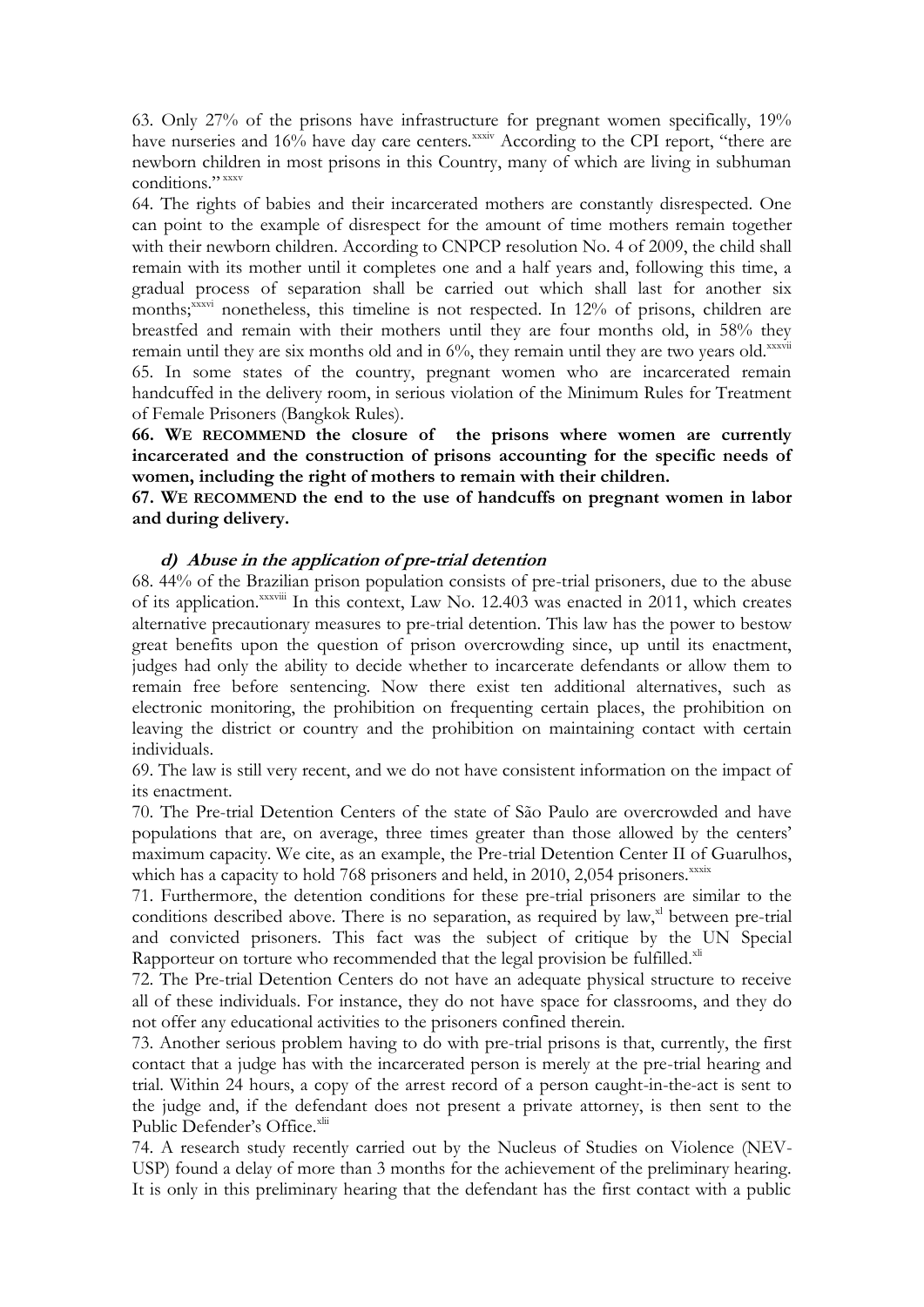63. Only 27% of the prisons have infrastructure for pregnant women specifically, 19% have nurseries and 16% have day care centers.<sup>xxxiv</sup> According to the CPI report, "there are newborn children in most prisons in this Country, many of which are living in subhuman conditions<sup>"</sup>

64. The rights of babies and their incarcerated mothers are constantly disrespected. One can point to the example of disrespect for the amount of time mothers remain together with their newborn children. According to CNPCP resolution No. 4 of 2009, the child shall remain with its mother until it completes one and a half years and, following this time, a gradual process of separation shall be carried out which shall last for another six months;<sup>xxxvi</sup> nonetheless, this timeline is not respected. In 12% of prisons, children are breastfed and remain with their mothers until they are four months old, in 58% they remain until they are six months old and in  $6\%$ , they remain until they are two years old. $x_{xx}$ 65. In some states of the country, pregnant women who are incarcerated remain handcuffed in the delivery room, in serious violation of the Minimum Rules for Treatment of Female Prisoners (Bangkok Rules).

**66. WE RECOMMEND the closure of the prisons where women are currently incarcerated and the construction of prisons accounting for the specific needs of women, including the right of mothers to remain with their children.**

**67. WE RECOMMEND the end to the use of handcuffs on pregnant women in labor and during delivery.**

#### **d) Abuse in the application of pre-trial detention**

68. 44% of the Brazilian prison population consists of pre-trial prisoners, due to the abuse of its application.<sup>xxxviii</sup> In this context, Law No. 12.403 was enacted in 2011, which creates alternative precautionary measures to pre-trial detention. This law has the power to bestow great benefits upon the question of prison overcrowding since, up until its enactment, judges had only the ability to decide whether to incarcerate defendants or allow them to remain free before sentencing. Now there exist ten additional alternatives, such as electronic monitoring, the prohibition on frequenting certain places, the prohibition on leaving the district or country and the prohibition on maintaining contact with certain individuals.

69. The law is still very recent, and we do not have consistent information on the impact of its enactment.

70. The Pre-trial Detention Centers of the state of São Paulo are overcrowded and have populations that are, on average, three times greater than those allowed by the centers' maximum capacity. We cite, as an example, the Pre-trial Detention Center II of Guarulhos, which has a capacity to hold  $768$  prisoners and held, in  $2010$ ,  $2,054$  prisoners. $x_{xxxx}$ 

71. Furthermore, the detention conditions for these pre-trial prisoners are similar to the conditions described above. There is no separation, as required by law, $x^2$  between pre-trial and convicted prisoners. This fact was the subject of critique by the UN Special Rapporteur on torture who recommended that the legal provision be fulfilled.<sup>xli</sup>

72. The Pre-trial Detention Centers do not have an adequate physical structure to receive all of these individuals. For instance, they do not have space for classrooms, and they do not offer any educational activities to the prisoners confined therein.

73. Another serious problem having to do with pre-trial prisons is that, currently, the first contact that a judge has with the incarcerated person is merely at the pre-trial hearing and trial. Within 24 hours, a copy of the arrest record of a person caught-in-the-act is sent to the judge and, if the defendant does not present a private attorney, is then sent to the Public Defender's Office.<sup>xlii</sup>

74. A research study recently carried out by the Nucleus of Studies on Violence (NEV-USP) found a delay of more than 3 months for the achievement of the preliminary hearing. It is only in this preliminary hearing that the defendant has the first contact with a public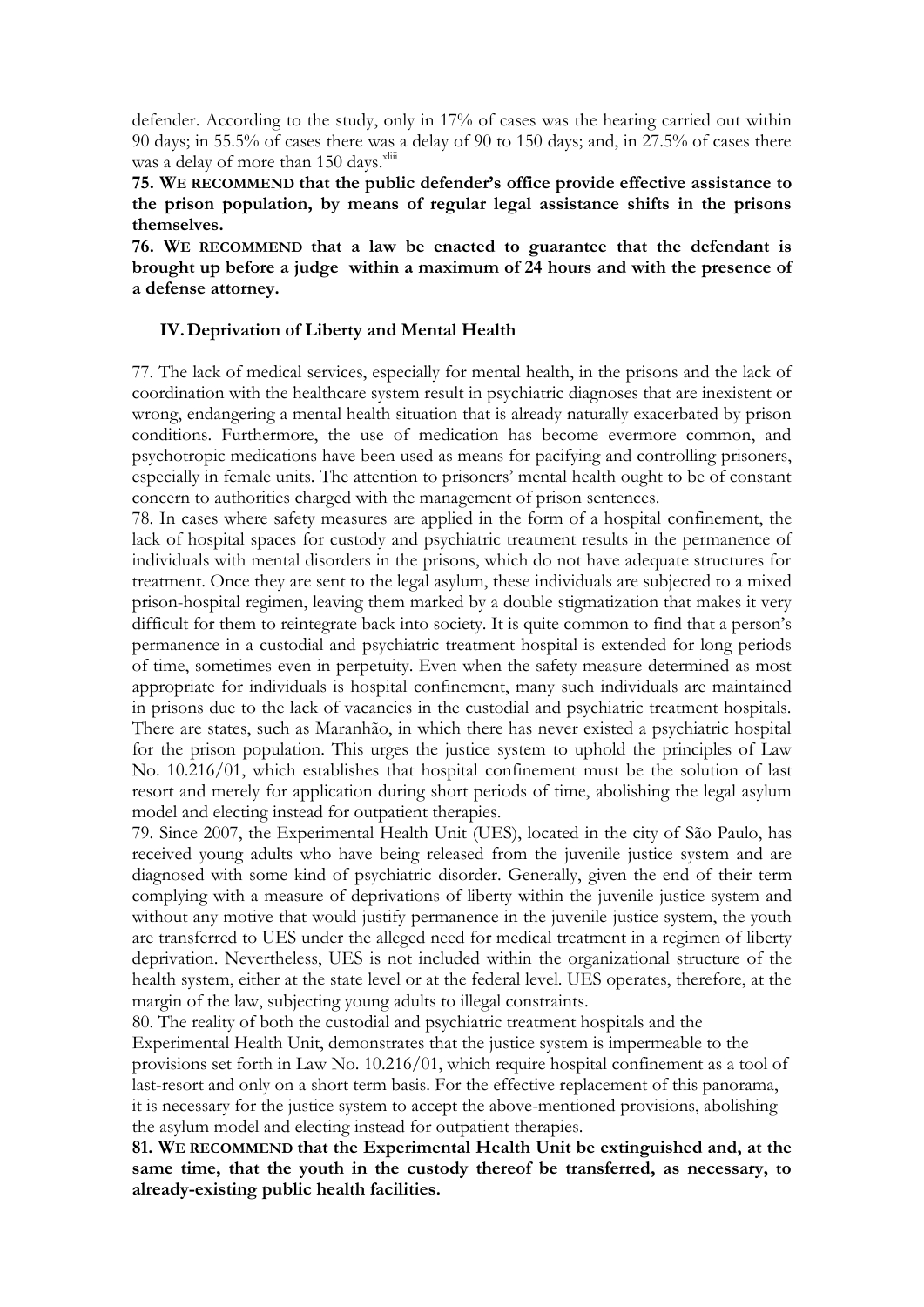defender. According to the study, only in 17% of cases was the hearing carried out within 90 days; in 55.5% of cases there was a delay of 90 to 150 days; and, in 27.5% of cases there was a delay of more than  $150$  days.<sup>xliii</sup>

**75. WE RECOMMEND that the public defender's office provide effective assistance to the prison population, by means of regular legal assistance shifts in the prisons themselves.**

**76. WE RECOMMEND that a law be enacted to guarantee that the defendant is brought up before a judge within a maximum of 24 hours and with the presence of a defense attorney.** 

#### **IV.Deprivation of Liberty and Mental Health**

77. The lack of medical services, especially for mental health, in the prisons and the lack of coordination with the healthcare system result in psychiatric diagnoses that are inexistent or wrong, endangering a mental health situation that is already naturally exacerbated by prison conditions. Furthermore, the use of medication has become evermore common, and psychotropic medications have been used as means for pacifying and controlling prisoners, especially in female units. The attention to prisoners' mental health ought to be of constant concern to authorities charged with the management of prison sentences.

78. In cases where safety measures are applied in the form of a hospital confinement, the lack of hospital spaces for custody and psychiatric treatment results in the permanence of individuals with mental disorders in the prisons, which do not have adequate structures for treatment. Once they are sent to the legal asylum, these individuals are subjected to a mixed prison-hospital regimen, leaving them marked by a double stigmatization that makes it very difficult for them to reintegrate back into society. It is quite common to find that a person's permanence in a custodial and psychiatric treatment hospital is extended for long periods of time, sometimes even in perpetuity. Even when the safety measure determined as most appropriate for individuals is hospital confinement, many such individuals are maintained in prisons due to the lack of vacancies in the custodial and psychiatric treatment hospitals. There are states, such as Maranhão, in which there has never existed a psychiatric hospital for the prison population. This urges the justice system to uphold the principles of Law No. 10.216/01, which establishes that hospital confinement must be the solution of last resort and merely for application during short periods of time, abolishing the legal asylum model and electing instead for outpatient therapies.

79. Since 2007, the Experimental Health Unit (UES), located in the city of São Paulo, has received young adults who have being released from the juvenile justice system and are diagnosed with some kind of psychiatric disorder. Generally, given the end of their term complying with a measure of deprivations of liberty within the juvenile justice system and without any motive that would justify permanence in the juvenile justice system, the youth are transferred to UES under the alleged need for medical treatment in a regimen of liberty deprivation. Nevertheless, UES is not included within the organizational structure of the health system, either at the state level or at the federal level. UES operates, therefore, at the margin of the law, subjecting young adults to illegal constraints.

80. The reality of both the custodial and psychiatric treatment hospitals and the Experimental Health Unit, demonstrates that the justice system is impermeable to the provisions set forth in Law No. 10.216/01, which require hospital confinement as a tool of last-resort and only on a short term basis. For the effective replacement of this panorama, it is necessary for the justice system to accept the above-mentioned provisions, abolishing the asylum model and electing instead for outpatient therapies.

**81. WE RECOMMEND that the Experimental Health Unit be extinguished and, at the same time, that the youth in the custody thereof be transferred, as necessary, to already-existing public health facilities.**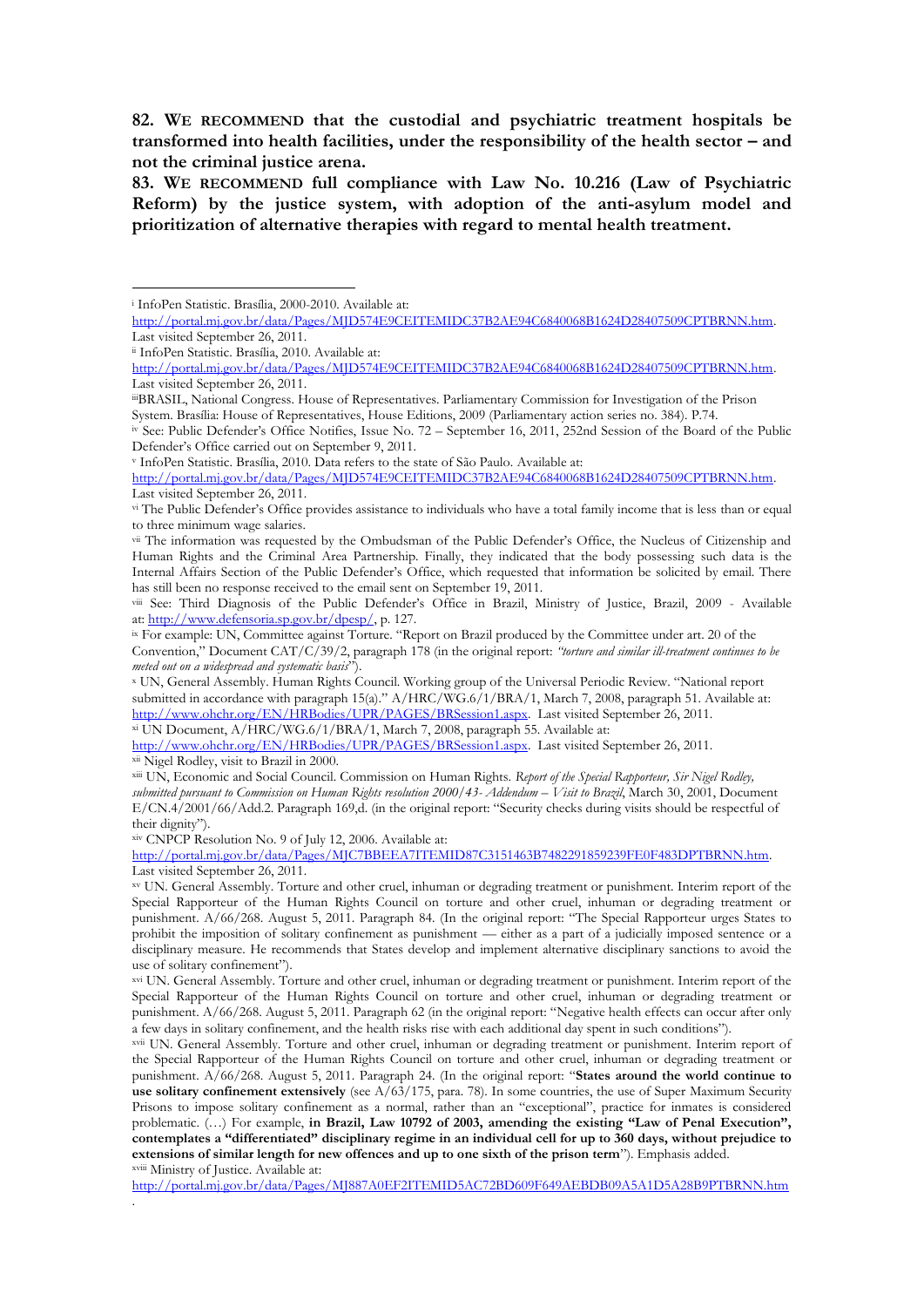**82. WE RECOMMEND that the custodial and psychiatric treatment hospitals be transformed into health facilities, under the responsibility of the health sector – and not the criminal justice arena.**

**83. WE RECOMMEND full compliance with Law No. 10.216 (Law of Psychiatric Reform) by the justice system, with adoption of the anti-asylum model and prioritization of alternative therapies with regard to mental health treatment.** 

<u>.</u>

.

<sup>v</sup> InfoPen Statistic. Brasília, 2010. Data refers to the state of São Paulo. Available at:

[http://portal.mj.gov.br/data/Pages/MJD574E9CEITEMIDC37B2AE94C6840068B1624D28407509CPTBRNN.htm.](http://portal.mj.gov.br/data/Pages/MJD574E9CEITEMIDC37B2AE94C6840068B1624D28407509CPTBRNN.htm)  Last visited September 26, 2011.

x UN, General Assembly. Human Rights Council. Working group of the Universal Periodic Review. "National report submitted in accordance with paragraph 15(a)." A/HRC/WG.6/1/BRA/1, March 7, 2008, paragraph 51. Available at: [http://www.ohchr.org/EN/HRBodies/UPR/PAGES/BRSession1.aspx.](http://www.ohchr.org/EN/HRBodies/UPR/PAGES/BRSession1.aspx) Last visited September 26, 2011.

xi UN Document, A/HRC/WG.6/1/BRA/1, March 7, 2008, paragraph 55. Available at: [http://www.ohchr.org/EN/HRBodies/UPR/PAGES/BRSession1.aspx.](http://www.ohchr.org/EN/HRBodies/UPR/PAGES/BRSession1.aspx) Last visited September 26, 2011.

xii Nigel Rodley, visit to Brazil in 2000.

xiii UN, Economic and Social Council. Commission on Human Rights. *Report of the Special Rapporteur, Sir Nigel Rodley, submitted pursuant to Commission on Human Rights resolution 2000/43- Addendum – Visit to Brazil*, March 30, 2001, Document E/CN.4/2001/66/Add.2. Paragraph 169,d. (in the original report: "Security checks during visits should be respectful of their dignity").

xiv CNPCP Resolution No. 9 of July 12, 2006. Available at:

[http://portal.mj.gov.br/data/Pages/MJC7BBEEA7ITEMID87C3151463B7482291859239FE0F483DPTBRNN.htm.](http://portal.mj.gov.br/data/Pages/MJC7BBEEA7ITEMID87C3151463B7482291859239FE0F483DPTBRNN.htm)  Last visited September 26, 2011.

xv UN. General Assembly. Torture and other cruel, inhuman or degrading treatment or punishment. Interim report of the Special Rapporteur of the Human Rights Council on torture and other cruel, inhuman or degrading treatment or punishment. A/66/268. August 5, 2011. Paragraph 84. (In the original report: "The Special Rapporteur urges States to prohibit the imposition of solitary confinement as punishment — either as a part of a judicially imposed sentence or a disciplinary measure. He recommends that States develop and implement alternative disciplinary sanctions to avoid the use of solitary confinement").

xvi UN. General Assembly. Torture and other cruel, inhuman or degrading treatment or punishment. Interim report of the Special Rapporteur of the Human Rights Council on torture and other cruel, inhuman or degrading treatment or punishment. A/66/268. August 5, 2011. Paragraph 62 (in the original report: "Negative health effects can occur after only a few days in solitary confinement, and the health risks rise with each additional day spent in such conditions").

xvii UN. General Assembly. Torture and other cruel, inhuman or degrading treatment or punishment. Interim report of the Special Rapporteur of the Human Rights Council on torture and other cruel, inhuman or degrading treatment or punishment. A/66/268. August 5, 2011. Paragraph 24. (In the original report: "States around the world continue to use solitary confinement extensively (see A/63/175, para. 78). In some countries, the use of Super Maximum Security Prisons to impose solitary confinement as a normal, rather than an "exceptional", practice for inmates is considered problematic. (…) For example, **in Brazil, Law 10792 of 2003, amending the existing "Law of Penal Execution", contemplates a "differentiated" disciplinary regime in an individual cell for up to 360 days, without prejudice to extensions of similar length for new offences and up to one sixth of the prison term**‖). Emphasis added. xviii Ministry of Justice. Available at:

<http://portal.mj.gov.br/data/Pages/MJ887A0EF2ITEMID5AC72BD609F649AEBDB09A5A1D5A28B9PTBRNN.htm>

<sup>i</sup> InfoPen Statistic. Brasília, 2000-2010. Available at:

[http://portal.mj.gov.br/data/Pages/MJD574E9CEITEMIDC37B2AE94C6840068B1624D28407509CPTBRNN.htm.](http://portal.mj.gov.br/data/Pages/MJD574E9CEITEMIDC37B2AE94C6840068B1624D28407509CPTBRNN.htm)  Last visited September 26, 2011.

ii InfoPen Statistic. Brasília, 2010. Available at:

[http://portal.mj.gov.br/data/Pages/MJD574E9CEITEMIDC37B2AE94C6840068B1624D28407509CPTBRNN.htm.](http://portal.mj.gov.br/data/Pages/MJD574E9CEITEMIDC37B2AE94C6840068B1624D28407509CPTBRNN.htm)  Last visited September 26, 2011.

iiiBRASIL, National Congress. House of Representatives. Parliamentary Commission for Investigation of the Prison System. Brasília: House of Representatives, House Editions, 2009 (Parliamentary action series no. 384). P.74.

iv See: Public Defender's Office Notifies, Issue No. 72 – September 16, 2011, 252nd Session of the Board of the Public Defender's Office carried out on September 9, 2011.

vi The Public Defender's Office provides assistance to individuals who have a total family income that is less than or equal to three minimum wage salaries.

vii The information was requested by the Ombudsman of the Public Defender's Office, the Nucleus of Citizenship and Human Rights and the Criminal Area Partnership. Finally, they indicated that the body possessing such data is the Internal Affairs Section of the Public Defender's Office, which requested that information be solicited by email. There has still been no response received to the email sent on September 19, 2011.

viii See: Third Diagnosis of the Public Defender's Office in Brazil, Ministry of Justice, Brazil, 2009 - Available at: [http://www.defensoria.sp.gov.br/dpesp/,](http://www.defensoria.sp.gov.br/dpesp/) p. 127.

<sup>&</sup>lt;sup>ix</sup> For example: UN, Committee against Torture. "Report on Brazil produced by the Committee under art. 20 of the Convention," Document CAT/C/39/2, paragraph 178 (in the original report: *"torture and similar ill-treatment continues to be meted out on a widespread and systematic basis*").